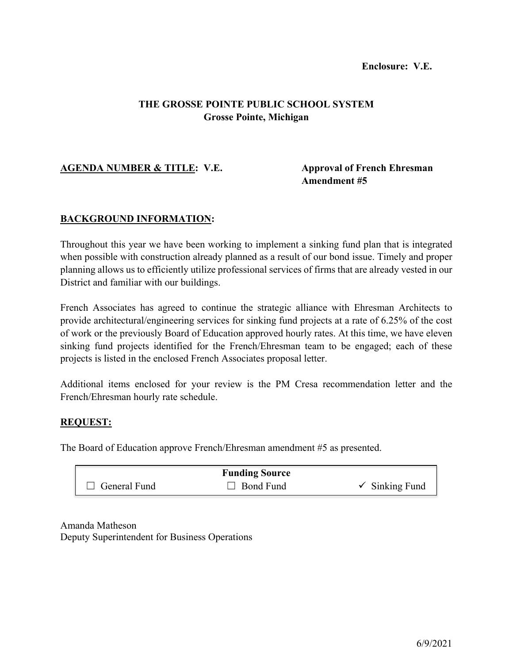# **Enclosure: V.E.**

# **THE GROSSE POINTE PUBLIC SCHOOL SYSTEM Grosse Pointe, Michigan**

# **AGENDA NUMBER & TITLE: V.E. Approval of French Ehresman**

# **Amendment #5**

# **BACKGROUND INFORMATION:**

Throughout this year we have been working to implement a sinking fund plan that is integrated when possible with construction already planned as a result of our bond issue. Timely and proper planning allows us to efficiently utilize professional services of firms that are already vested in our District and familiar with our buildings.

French Associates has agreed to continue the strategic alliance with Ehresman Architects to provide architectural/engineering services for sinking fund projects at a rate of 6.25% of the cost of work or the previously Board of Education approved hourly rates. At this time, we have eleven sinking fund projects identified for the French/Ehresman team to be engaged; each of these projects is listed in the enclosed French Associates proposal letter.

Additional items enclosed for your review is the PM Cresa recommendation letter and the French/Ehresman hourly rate schedule.

## **REQUEST:**

The Board of Education approve French/Ehresman amendment #5 as presented.

|                     | <b>Funding Source</b> |                           |
|---------------------|-----------------------|---------------------------|
| $\Box$ General Fund | $\Box$ Bond Fund      | $\checkmark$ Sinking Fund |

Amanda Matheson Deputy Superintendent for Business Operations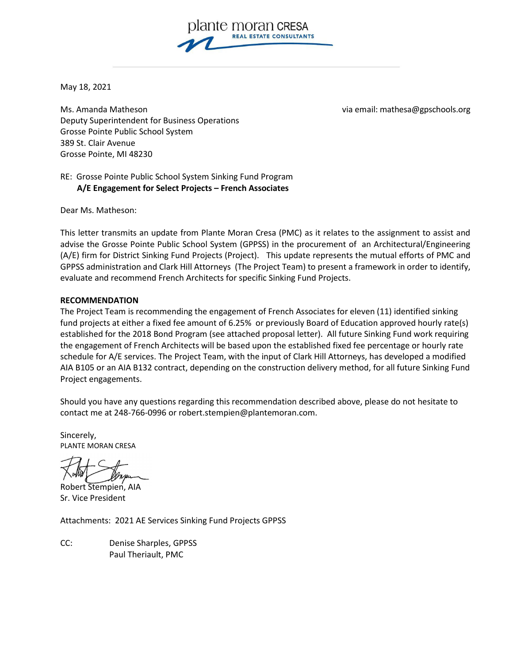

May 18, 2021

Ms. Amanda Matheson via email: mathesa@gpschools.org Deputy Superintendent for Business Operations Grosse Pointe Public School System 389 St. Clair Avenue Grosse Pointe, MI 48230

RE: Grosse Pointe Public School System Sinking Fund Program  **A/E Engagement for Select Projects – French Associates**

Dear Ms. Matheson:

This letter transmits an update from Plante Moran Cresa (PMC) as it relates to the assignment to assist and advise the Grosse Pointe Public School System (GPPSS) in the procurement of an Architectural/Engineering (A/E) firm for District Sinking Fund Projects (Project). This update represents the mutual efforts of PMC and GPPSS administration and Clark Hill Attorneys (The Project Team) to present a framework in order to identify, evaluate and recommend French Architects for specific Sinking Fund Projects.

## **RECOMMENDATION**

The Project Team is recommending the engagement of French Associates for eleven (11) identified sinking fund projects at either a fixed fee amount of 6.25% or previously Board of Education approved hourly rate(s) established for the 2018 Bond Program (see attached proposal letter). All future Sinking Fund work requiring the engagement of French Architects will be based upon the established fixed fee percentage or hourly rate schedule for A/E services. The Project Team, with the input of Clark Hill Attorneys, has developed a modified AIA B105 or an AIA B132 contract, depending on the construction delivery method, for all future Sinking Fund Project engagements.

Should you have any questions regarding this recommendation described above, please do not hesitate to contact me at 248-766-0996 or [robert.stempien@plantemoran.com.](mailto:robert.stempien@plantemoran.com)

Sincerely, PLANTE MORAN CRESA

Robert Stempien, AIA Sr. Vice President

Attachments: 2021 AE Services Sinking Fund Projects GPPSS

CC: Denise Sharples, GPPSS Paul Theriault, PMC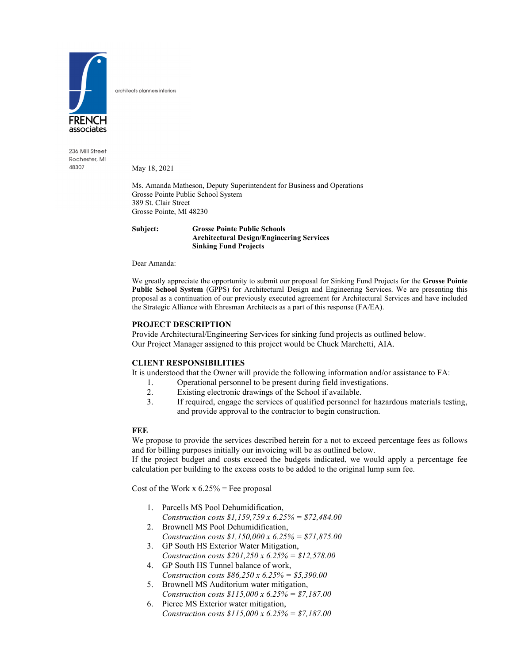

236 Mill Street Rochester, MI 48307

May 18, 2021

architects planners interiors

Ms. Amanda Matheson, Deputy Superintendent for Business and Operations Grosse Pointe Public School System 389 St. Clair Street Grosse Pointe, MI 48230

#### **Subject: Grosse Pointe Public Schools Architectural Design/Engineering Services Sinking Fund Projects**

Dear Amanda:

We greatly appreciate the opportunity to submit our proposal for Sinking Fund Projects for the **Grosse Pointe Public School System** (GPPS) for Architectural Design and Engineering Services. We are presenting this proposal as a continuation of our previously executed agreement for Architectural Services and have included the Strategic Alliance with Ehresman Architects as a part of this response (FA/EA).

## **PROJECT DESCRIPTION**

Provide Architectural/Engineering Services for sinking fund projects as outlined below. Our Project Manager assigned to this project would be Chuck Marchetti, AIA.

## **CLIENT RESPONSIBILITIES**

It is understood that the Owner will provide the following information and/or assistance to FA:

- 1. Operational personnel to be present during field investigations.
- 2. Existing electronic drawings of the School if available.<br>3. If required, engage the services of qualified personnel i
- If required, engage the services of qualified personnel for hazardous materials testing, and provide approval to the contractor to begin construction.

## **FEE**

We propose to provide the services described herein for a not to exceed percentage fees as follows and for billing purposes initially our invoicing will be as outlined below.

If the project budget and costs exceed the budgets indicated, we would apply a percentage fee calculation per building to the excess costs to be added to the original lump sum fee.

Cost of the Work  $x 6.25%$  = Fee proposal

- 1. Parcells MS Pool Dehumidification, *Construction costs \$1,159,759 x 6.25% = \$72,484.00*
- 2. Brownell MS Pool Dehumidification, *Construction costs \$1,150,000 x 6.25% = \$71,875.00*
- 3. GP South HS Exterior Water Mitigation, *Construction costs \$201,250 x 6.25% = \$12,578.00*
- 4. GP South HS Tunnel balance of work, *Construction costs \$86,250 x 6.25% = \$5,390.00*
- 5. Brownell MS Auditorium water mitigation, *Construction costs \$115,000 x 6.25% = \$7,187.00*
- 6. Pierce MS Exterior water mitigation, *Construction costs \$115,000 x 6.25% = \$7,187.00*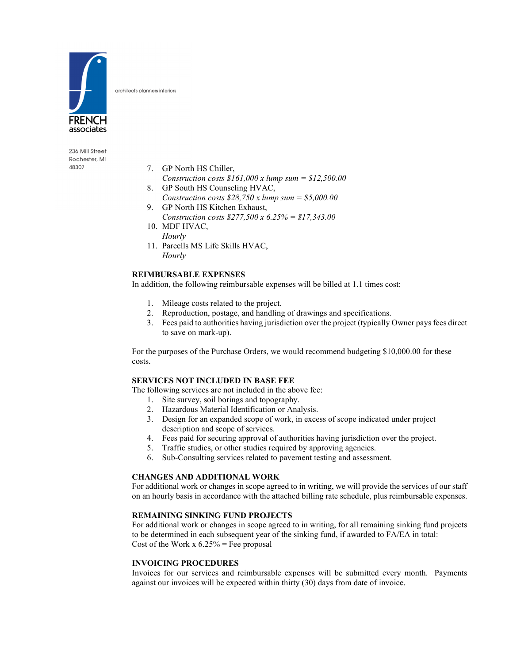

architects planners interiors

236 Mill Street Rochester, MI 48307

- 7. GP North HS Chiller,
- *Construction costs \$161,000 x lump sum = \$12,500.00*
- 8. GP South HS Counseling HVAC, *Construction costs \$28,750 x lump sum = \$5,000.00*
- 9. GP North HS Kitchen Exhaust, *Construction costs \$277,500 x 6.25% = \$17,343.00*
- 10. MDF HVAC, *Hourly*
- 11. Parcells MS Life Skills HVAC, *Hourly*

## **REIMBURSABLE EXPENSES**

In addition, the following reimbursable expenses will be billed at 1.1 times cost:

- 1. Mileage costs related to the project.
- 2. Reproduction, postage, and handling of drawings and specifications.
- 3. Fees paid to authorities having jurisdiction over the project (typically Owner pays fees direct to save on mark-up).

For the purposes of the Purchase Orders, we would recommend budgeting \$10,000.00 for these costs.

#### **SERVICES NOT INCLUDED IN BASE FEE**

The following services are not included in the above fee:

- 1. Site survey, soil borings and topography.
- 2. Hazardous Material Identification or Analysis.
- 3. Design for an expanded scope of work, in excess of scope indicated under project description and scope of services.
- 4. Fees paid for securing approval of authorities having jurisdiction over the project.
- 5. Traffic studies, or other studies required by approving agencies.
- 6. Sub-Consulting services related to pavement testing and assessment.

## **CHANGES AND ADDITIONAL WORK**

For additional work or changes in scope agreed to in writing, we will provide the services of our staff on an hourly basis in accordance with the attached billing rate schedule, plus reimbursable expenses.

## **REMAINING SINKING FUND PROJECTS**

For additional work or changes in scope agreed to in writing, for all remaining sinking fund projects to be determined in each subsequent year of the sinking fund, if awarded to FA/EA in total: Cost of the Work  $x 6.25%$  = Fee proposal

#### **INVOICING PROCEDURES**

Invoices for our services and reimbursable expenses will be submitted every month. Payments against our invoices will be expected within thirty (30) days from date of invoice.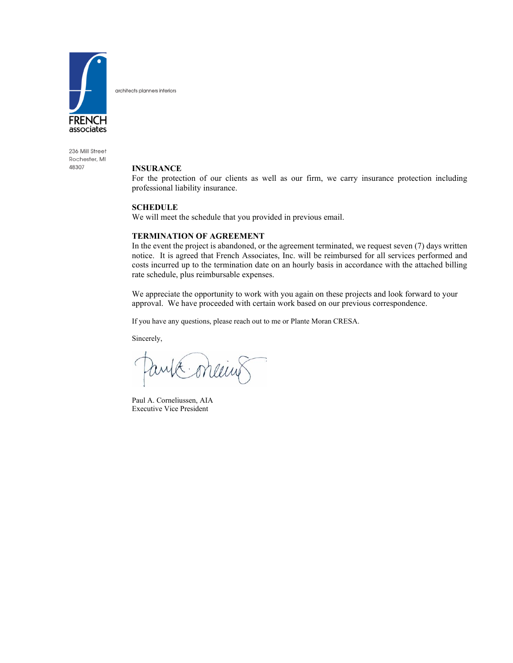

architects planners interiors

236 Mill Street Rochester, MI 48307

#### **INSURANCE**

For the protection of our clients as well as our firm, we carry insurance protection including professional liability insurance.

#### **SCHEDULE**

We will meet the schedule that you provided in previous email.

#### **TERMINATION OF AGREEMENT**

In the event the project is abandoned, or the agreement terminated, we request seven (7) days written notice. It is agreed that French Associates, Inc. will be reimbursed for all services performed and costs incurred up to the termination date on an hourly basis in accordance with the attached billing rate schedule, plus reimbursable expenses.

We appreciate the opportunity to work with you again on these projects and look forward to your approval. We have proceeded with certain work based on our previous correspondence.

If you have any questions, please reach out to me or Plante Moran CRESA.

Sincerely,

meu

Paul A. Corneliussen, AIA Executive Vice President